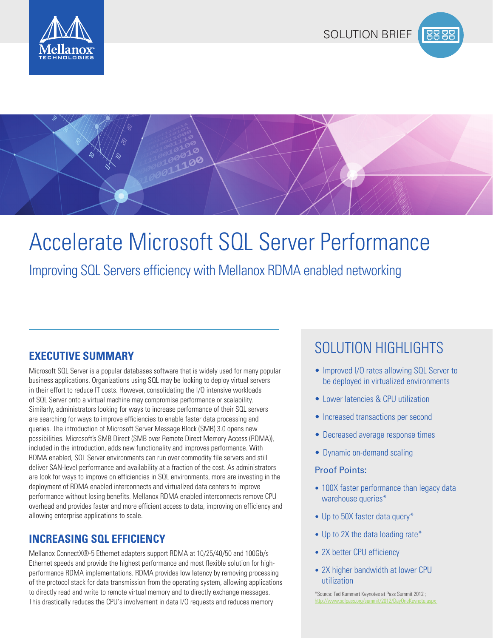





# Accelerate Microsoft SQL Server Performance

Improving SQL Servers efficiency with Mellanox RDMA enabled networking

Microsoft SQL Server is a popular databases software that is widely used for many popular business applications. Organizations using SQL may be looking to deploy virtual servers in their effort to reduce IT costs. However, consolidating the I/O intensive workloads of SQL Server onto a virtual machine may compromise performance or scalability. Similarly, administrators looking for ways to increase performance of their SQL servers are searching for ways to improve efficiencies to enable faster data processing and queries. The introduction of Microsoft Server Message Block (SMB) 3.0 opens new possibilities. Microsoft's SMB Direct (SMB over Remote Direct Memory Access (RDMA)), included in the introduction, adds new functionality and improves performance. With RDMA enabled, SQL Server environments can run over commodity file servers and still deliver SAN-level performance and availability at a fraction of the cost. As administrators are look for ways to improve on efficiencies in SQL environments, more are investing in the deployment of RDMA enabled interconnects and virtualized data centers to improve performance without losing benefits. Mellanox RDMA enabled interconnects remove CPU overhead and provides faster and more efficient access to data, improving on efficiency and allowing enterprise applications to scale.

### **INCREASING SQL EFFICIENCY**

Mellanox ConnectX®-5 Ethernet adapters support RDMA at 10/25/40/50 and 100Gb/s Ethernet speeds and provide the highest performance and most flexible solution for highperformance RDMA implementations. RDMA provides low latency by removing processing of the protocol stack for data transmission from the operating system, allowing applications to directly read and write to remote virtual memory and to directly exchange messages. This drastically reduces the CPU's involvement in data I/O requests and reduces memory

## SOLUTION HIGHLIGHTS **EXECUTIVE SUMMARY**

- Improved I/O rates allowing SQL Server to be deployed in virtualized environments
- Lower latencies & CPU utilization
- Increased transactions per second
- Decreased average response times
- Dynamic on-demand scaling

### Proof Points:

- 100X faster performance than legacy data warehouse queries\*
- Up to 50X faster data query\*
- Up to 2X the data loading rate\*
- 2X better CPU efficiency
- 2X higher bandwidth at lower CPU utilization

[\\*Source: Ted Kummert Keynotes at Pass Summit 2012 ;](http://www.sqlpass.org/summit/2012/DayOneKeynote.aspx)